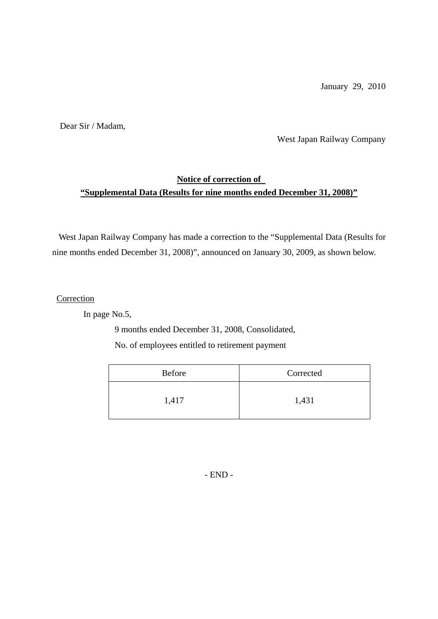January 29, 2010

Dear Sir / Madam,

West Japan Railway Company

#### **Notice of correction of "Supplemental Data (Results for nine months ended December 31, 2008)"**

West Japan Railway Company has made a correction to the "Supplemental Data (Results for nine months ended December 31, 2008)", announced on January 30, 2009, as shown below.

**Correction** 

In page No.5,

9 months ended December 31, 2008, Consolidated,

No. of employees entitled to retirement payment

| <b>Before</b> | Corrected |
|---------------|-----------|
| 1,417         | 1,431     |

- END -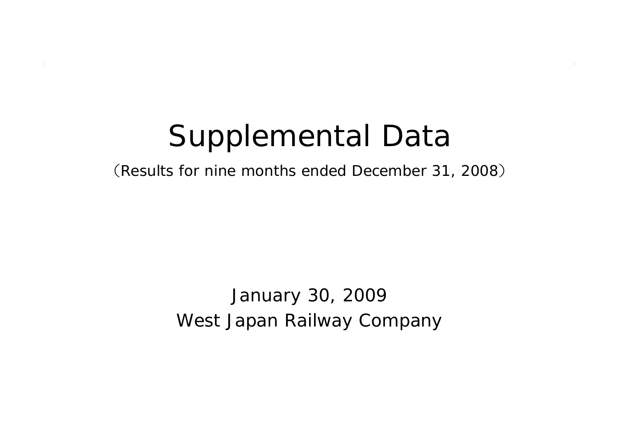# Supplemental Data

(Results for nine months ended December 31, 2008 )

West Japan Railway Company January 30, 2009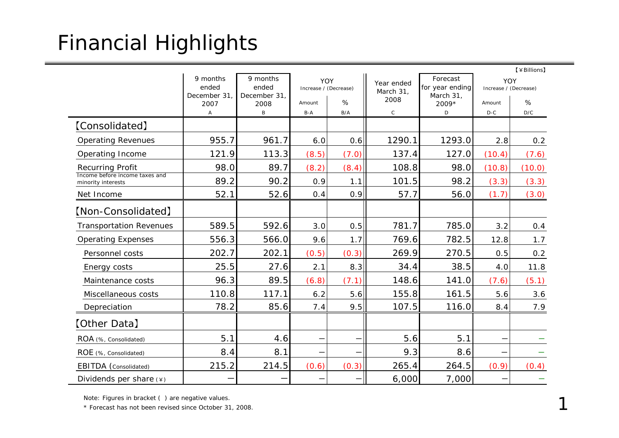## Financial Highlights

|                                                      |                      |                      |                                     |       |                   |                             |                              | 【¥Billions】 |
|------------------------------------------------------|----------------------|----------------------|-------------------------------------|-------|-------------------|-----------------------------|------------------------------|-------------|
|                                                      | 9 months<br>ended    | 9 months<br>ended    | <b>YOY</b><br>Increase / (Decrease) |       |                   | Forecast<br>for year ending | YOY<br>Increase / (Decrease) |             |
|                                                      | December 31,<br>2007 | December 31,<br>2008 | Amount                              | %     | March 31,<br>2008 | March 31,<br>2009*          | Amount                       | %           |
|                                                      | Α                    | B                    | B-A                                 | B/A   | $\mathsf C$       | D                           | $D-C$                        | D/C         |
| [Consolidated]                                       |                      |                      |                                     |       |                   |                             |                              |             |
| <b>Operating Revenues</b>                            | 955.7                | 961.7                | 6.0                                 | 0.6   | 1290.1            | 1293.0                      | 2.8                          | 0.2         |
| Operating Income                                     | 121.9                | 113.3                | (8.5)                               | (7.0) | 137.4             | 127.0                       | (10.4)                       | (7.6)       |
| <b>Recurring Profit</b>                              | 98.0                 | 89.7                 | (8.2)                               | (8.4) | 108.8             | 98.0                        | (10.8)                       | (10.0)      |
| Income before income taxes and<br>minority interests | 89.2                 | 90.2                 | 0.9                                 | 1.1   | 101.5             | 98.2                        | (3.3)                        | (3.3)       |
| Net Income                                           | 52.1                 | 52.6                 | 0.4                                 | 0.9   | 57.7              | 56.0                        | (1.7)                        | (3.0)       |
| [Non-Consolidated]                                   |                      |                      |                                     |       |                   |                             |                              |             |
| <b>Transportation Revenues</b>                       | 589.5                | 592.6                | 3.0                                 | 0.5   | 781.7             | 785.0                       | 3.2                          | 0.4         |
| <b>Operating Expenses</b>                            | 556.3                | 566.0                | 9.6                                 | 1.7   | 769.6             | 782.5                       | 12.8                         | 1.7         |
| Personnel costs                                      | 202.7                | 202.1                | (0.5)                               | (0.3) | 269.9             | 270.5                       | 0.5                          | 0.2         |
| Energy costs                                         | 25.5                 | 27.6                 | 2.1                                 | 8.3   | 34.4              | 38.5                        | 4.0                          | 11.8        |
| Maintenance costs                                    | 96.3                 | 89.5                 | (6.8)                               | (7.1) | 148.6             | 141.0                       | (7.6)                        | (5.1)       |
| Miscellaneous costs                                  | 110.8                | 117.1                | 6.2                                 | 5.6   | 155.8             | 161.5                       | 5.6                          | 3.6         |
| Depreciation                                         | 78.2                 | 85.6                 | 7.4                                 | 9.5   | 107.5             | 116.0                       | 8.4                          | 7.9         |
| [Other Data]                                         |                      |                      |                                     |       |                   |                             |                              |             |
| ROA (%, Consolidated)                                | 5.1                  | 4.6                  |                                     |       | 5.6               | 5.1                         |                              |             |
| ROE (%, Consolidated)                                | 8.4                  | 8.1                  |                                     |       | 9.3               | 8.6                         |                              |             |
| EBITDA (Consolidated)                                | 215.2                | 214.5                | (0.6)                               | (0.3) | 265.4             | 264.5                       | (0.9)                        | (0.4)       |
| Dividends per share $(*)$                            |                      |                      |                                     |       | 6,000             | 7,000                       |                              |             |

Note: Figures in bracket ( ) are negative values.

\* Forecast has not been revised since October 31, 2008.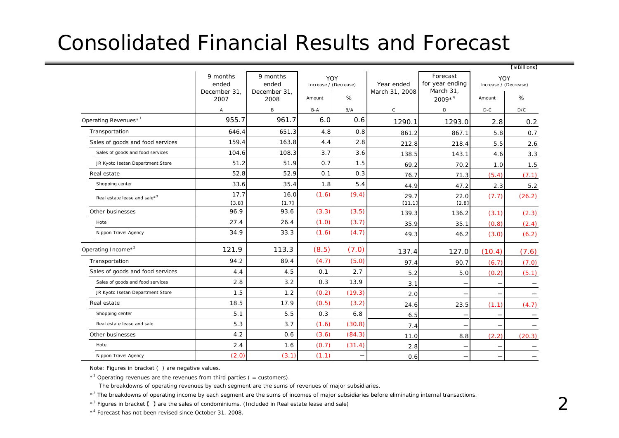### Consolidated Financial Results and Forecast

|                                          |                                                                        |               |                       |        |                              |                                          |                              | 【¥Billions】 |
|------------------------------------------|------------------------------------------------------------------------|---------------|-----------------------|--------|------------------------------|------------------------------------------|------------------------------|-------------|
|                                          | 9 months<br>9 months<br>ended<br>ended<br>December 31,<br>December 31, |               | Increase / (Decrease) | YOY    | Year ended<br>March 31, 2008 | Forecast<br>for year ending<br>March 31, | YOY<br>Increase / (Decrease) |             |
|                                          | 2007                                                                   | 2008          | Amount                | %      |                              | $2009*^{4}$                              | Amount                       | %           |
|                                          | $\mathsf{A}$                                                           | B             | B-A                   | B/A    | $\mathsf C$                  | D                                        | $D-C$                        | D/C         |
| Operating Revenues* <sup>1</sup>         | 955.7                                                                  | 961.7         | 6.0                   | 0.6    | 1290.1                       | 1293.0                                   | 2.8                          | 0.2         |
| Transportation                           | 646.4                                                                  | 651.3         | 4.8                   | 0.8    | 861.2                        | 867.1                                    | 5.8                          | 0.7         |
| Sales of goods and food services         | 159.4                                                                  | 163.8         | 4.4                   | 2.8    | 212.8                        | 218.4                                    | 5.5                          | 2.6         |
| Sales of goods and food services         | 104.6                                                                  | 108.3         | 3.7                   | 3.6    | 138.5                        | 143.1                                    | 4.6                          | 3.3         |
| JR Kyoto Isetan Department Store         | 51.2                                                                   | 51.9          | 0.7                   | 1.5    | 69.2                         | 70.2                                     | 1.0                          | 1.5         |
| Real estate                              | 52.8                                                                   | 52.9          | 0.1                   | 0.3    | 76.7                         | 71.3                                     | (5.4)                        | (7.1)       |
| Shopping center                          | 33.6                                                                   | 35.4          | 1.8                   | 5.4    | 44.9                         | 47.2                                     | 2.3                          | 5.2         |
| Real estate lease and sale* <sup>3</sup> | 17.7<br>[3.8]                                                          | 16.0<br>[1.7] | (1.6)                 | (9.4)  | 29.7<br>[11.1]               | 22.0<br>[2.8]                            | (7.7)                        | (26.2)      |
| Other businesses                         | 96.9                                                                   | 93.6          | (3.3)                 | (3.5)  | 139.3                        | 136.2                                    | (3.1)                        | (2.3)       |
| Hotel                                    | 27.4                                                                   | 26.4          | (1.0)                 | (3.7)  | 35.9                         | 35.1                                     | (0.8)                        | (2.4)       |
| Nippon Travel Agency                     | 34.9                                                                   | 33.3          | (1.6)                 | (4.7)  | 49.3                         | 46.2                                     | (3.0)                        | (6.2)       |
| Operating Income* <sup>2</sup>           | 121.9                                                                  | 113.3         | (8.5)                 | (7.0)  | 137.4                        | 127.0                                    | (10.4)                       | (7.6)       |
| Transportation                           | 94.2                                                                   | 89.4          | (4.7)                 | (5.0)  | 97.4                         | 90.7                                     | (6.7)                        | (7.0)       |
| Sales of goods and food services         | 4.4                                                                    | 4.5           | 0.1                   | 2.7    | 5.2                          | 5.0                                      | (0.2)                        | (5.1)       |
| Sales of goods and food services         | 2.8                                                                    | 3.2           | 0.3                   | 13.9   | 3.1                          |                                          | $\overline{\phantom{m}}$     |             |
| JR Kyoto Isetan Department Store         | 1.5                                                                    | 1.2           | (0.2)                 | (19.3) | 2.0                          |                                          |                              |             |
| Real estate                              | 18.5                                                                   | 17.9          | (0.5)                 | (3.2)  | 24.6                         | 23.5                                     | (1.1)                        | (4.7)       |
| Shopping center                          | 5.1                                                                    | 5.5           | 0.3                   | 6.8    | 6.5                          |                                          | $\qquad \qquad -$            |             |
| Real estate lease and sale               | 5.3                                                                    | 3.7           | (1.6)                 | (30.8) | 7.4                          |                                          | —                            |             |
| Other businesses                         | 4.2                                                                    | 0.6           | (3.6)                 | (84.3) | 11.0                         | 8.8                                      | (2.2)                        | (20.3)      |
| Hotel                                    | 2.4                                                                    | 1.6           | (0.7)                 | (31.4) | 2.8                          |                                          |                              |             |
| Nippon Travel Agency                     | (2.0)                                                                  | (3.1)         | (1.1)                 | —      | 0.6                          |                                          | $\overline{\phantom{m}}$     |             |

Note: Figures in bracket ( ) are negative values.

 $*$ <sup>1</sup> Operating revenues are the revenues from third parties ( = customers).

The breakdowns of operating revenues by each segment are the sums of revenues of major subsidiaries.

\*<sup>2</sup> The breakdowns of operating income by each segment are the sums of incomes of major subsidiaries before eliminating internal transactions.

\*<sup>3</sup> Figures in bracket [ ] are the sales of condominiums. (Included in Real estate lease and sale)

\*4 Forecast has not been revised since October 31, 2008.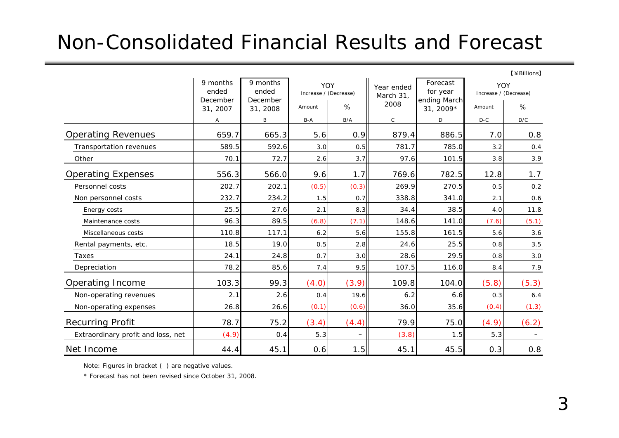#### Non-Consolidated Financial Results and Forecast

【¥Billions】

|                                    | 9 months<br>9 months<br>ended<br>ended |                      | YOY<br>Increase / (Decrease) |                          | Year ended<br>March 31, | Forecast<br>for year      | YOY<br>Increase / (Decrease) |       |
|------------------------------------|----------------------------------------|----------------------|------------------------------|--------------------------|-------------------------|---------------------------|------------------------------|-------|
|                                    | December<br>31, 2007                   | December<br>31, 2008 | Amount                       | %                        | 2008                    | ending March<br>31, 2009* | Amount                       | %     |
|                                    | Α                                      | B                    | B-A                          | B/A                      | $\mathsf{C}$            | D                         | $D-C$                        | D/C   |
| <b>Operating Revenues</b>          | 659.7                                  | 665.3                | 5.6                          | 0.9                      | 879.4                   | 886.5                     | 7.0                          | 0.8   |
| Transportation revenues            | 589.5                                  | 592.6                | 3.0                          | 0.5                      | 781.7                   | 785.0                     | 3.2                          | 0.4   |
| Other                              | 70.1                                   | 72.7                 | 2.6                          | 3.7                      | 97.6                    | 101.5                     | 3.8                          | 3.9   |
| <b>Operating Expenses</b>          | 556.3                                  | 566.0                | 9.6                          | 1.7                      | 769.6                   | 782.5                     | 12.8                         | 1.7   |
| Personnel costs                    | 202.7                                  | 202.1                | (0.5)                        | (0.3)                    | 269.9                   | 270.5                     | 0.5                          | 0.2   |
| Non personnel costs                | 232.7                                  | 234.2                | 1.5                          | 0.7                      | 338.8                   | 341.0                     | 2.1                          | 0.6   |
| Energy costs                       | 25.5                                   | 27.6                 | 2.1                          | 8.3                      | 34.4                    | 38.5                      | 4.0                          | 11.8  |
| Maintenance costs                  | 96.3                                   | 89.5                 | (6.8)                        | (7.1)                    | 148.6                   | 141.0                     | (7.6)                        | (5.1) |
| Miscellaneous costs                | 110.8                                  | 117.1                | 6.2                          | 5.6                      | 155.8                   | 161.5                     | 5.6                          | 3.6   |
| Rental payments, etc.              | 18.5                                   | 19.0                 | 0.5                          | 2.8                      | 24.6                    | 25.5                      | 0.8                          | 3.5   |
| Taxes                              | 24.1                                   | 24.8                 | 0.7                          | 3.0                      | 28.6                    | 29.5                      | 0.8                          | 3.0   |
| Depreciation                       | 78.2                                   | 85.6                 | 7.4                          | 9.5                      | 107.5                   | 116.0                     | 8.4                          | 7.9   |
| Operating Income                   | 103.3                                  | 99.3                 | (4.0)                        | (3.9)                    | 109.8                   | 104.0                     | (5.8)                        | (5.3) |
| Non-operating revenues             | 2.1                                    | 2.6                  | 0.4                          | 19.6                     | 6.2                     | 6.6                       | 0.3                          | 6.4   |
| Non-operating expenses             | 26.8                                   | 26.6                 | (0.1)                        | (0.6)                    | 36.0                    | 35.6                      | (0.4)                        | (1.3) |
| <b>Recurring Profit</b>            | 78.7                                   | 75.2                 | (3.4)                        | (4.4)                    | 79.9                    | 75.0                      | (4.9)                        | (6.2) |
| Extraordinary profit and loss, net | (4.9)                                  | 0.4                  | 5.3                          | $\overline{\phantom{m}}$ | (3.8)                   | 1.5                       | 5.3                          |       |
| Net Income                         | 44.4                                   | 45.1                 | 0.6                          | 1.5                      | 45.1                    | 45.5                      | 0.3                          | 0.8   |

Note: Figures in bracket ( ) are negative values.

\* Forecast has not been revised since October 31, 2008.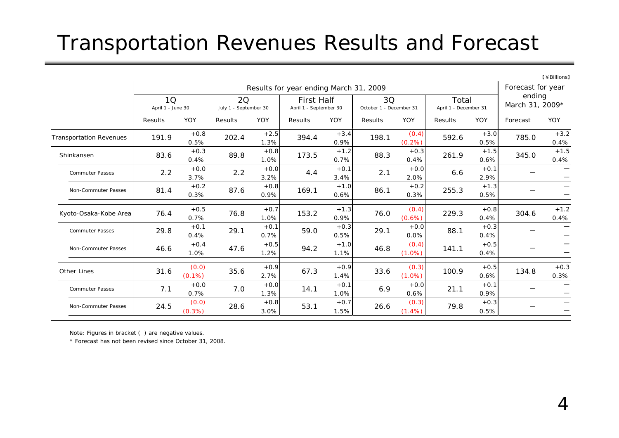### Transportation Revenues Results and Forecast

|                                |                                        |                    |                                    |                |                                             |                |                               |                    |                                |                |                           | $[4$ Billions     |
|--------------------------------|----------------------------------------|--------------------|------------------------------------|----------------|---------------------------------------------|----------------|-------------------------------|--------------------|--------------------------------|----------------|---------------------------|-------------------|
|                                | Results for year ending March 31, 2009 |                    |                                    |                |                                             |                |                               |                    |                                |                |                           | Forecast for year |
|                                | 1Q<br>April 1 - June 30                |                    | <b>2Q</b><br>July 1 - September 30 |                | <b>First Half</b><br>April 1 - September 30 |                | 3Q<br>October 1 - December 31 |                    | Total<br>April 1 - December 31 |                | ending<br>March 31, 2009* |                   |
|                                | Results                                | YOY                | Results                            | YOY            | Results                                     | YOY            | Results                       | YOY                | Results                        | YOY            | Forecast                  | YOY               |
| <b>Transportation Revenues</b> | 191.9                                  | $+0.8$<br>0.5%     | 202.4                              | $+2.5$<br>1.3% | 394.4                                       | $+3.4$<br>0.9% | 198.1                         | (0.4)<br>(0.2%)    | 592.6                          | $+3.0$<br>0.5% | 785.0                     | $+3.2$<br>0.4%    |
| Shinkansen                     | 83.6                                   | $+0.3$<br>0.4%     | 89.8                               | $+0.8$<br>1.0% | 173.5                                       | $+1.2$<br>0.7% | 88.3                          | $+0.3$<br>0.4%     | 261.9                          | $+1.5$<br>0.6% | 345.0                     | $+1.5$<br>0.4%    |
| <b>Commuter Passes</b>         | 2.2                                    | $+0.0$<br>3.7%     | 2.2                                | $+0.0$<br>3.2% | 4.4                                         | $+0.1$<br>3.4% | 2.1                           | $+0.0$<br>2.0%     | 6.6                            | $+0.1$<br>2.9% |                           | —                 |
| Non-Commuter Passes            | 81.4                                   | $+0.2$<br>0.3%     | 87.6                               | $+0.8$<br>0.9% | 169.1                                       | $+1.0$<br>0.6% | 86.1                          | $+0.2$<br>0.3%     | 255.3                          | $+1.3$<br>0.5% |                           | -                 |
| Kyoto-Osaka-Kobe Area          | 76.4                                   | $+0.5$<br>0.7%     | 76.8                               | $+0.7$<br>1.0% | 153.2                                       | $+1.3$<br>0.9% | 76.0                          | (0.4)<br>(0.6%)    | 229.3                          | $+0.8$<br>0.4% | 304.6                     | $+1.2$<br>0.4%    |
| <b>Commuter Passes</b>         | 29.8                                   | $+0.1$<br>0.4%     | 29.1                               | $+0.1$<br>0.7% | 59.0                                        | $+0.3$<br>0.5% | 29.1                          | $+0.0$<br>0.0%     | 88.1                           | $+0.3$<br>0.4% |                           | —                 |
| Non-Commuter Passes            | 46.6                                   | $+0.4$<br>1.0%     | 47.6                               | $+0.5$<br>1.2% | 94.2                                        | $+1.0$<br>1.1% | 46.8                          | (0.4)<br>$(1.0\%)$ | 141.1                          | $+0.5$<br>0.4% |                           | —<br>—            |
| <b>Other Lines</b>             | 31.6                                   | (0.0)<br>$(0.1\%)$ | 35.6                               | $+0.9$<br>2.7% | 67.3                                        | $+0.9$<br>1.4% | 33.6                          | (0.3)<br>$(1.0\%)$ | 100.9                          | $+0.5$<br>0.6% | 134.8                     | $+0.3$<br>0.3%    |
| <b>Commuter Passes</b>         | 7.1                                    | $+0.0$<br>0.7%     | 7.0                                | $+0.0$<br>1.3% | 14.1                                        | $+0.1$<br>1.0% | 6.9                           | $+0.0$<br>0.6%     | 21.1                           | $+0.1$<br>0.9% |                           | —<br>—            |
| Non-Commuter Passes            | 24.5                                   | (0.0)<br>(0.3%)    | 28.6                               | $+0.8$<br>3.0% | 53.1                                        | $+0.7$<br>1.5% | 26.6                          | (0.3)<br>$(1.4\%)$ | 79.8                           | $+0.3$<br>0.5% |                           | —<br>-            |

Note: Figures in bracket ( ) are negative values.

\* Forecast has not been revised since October 31, 2008.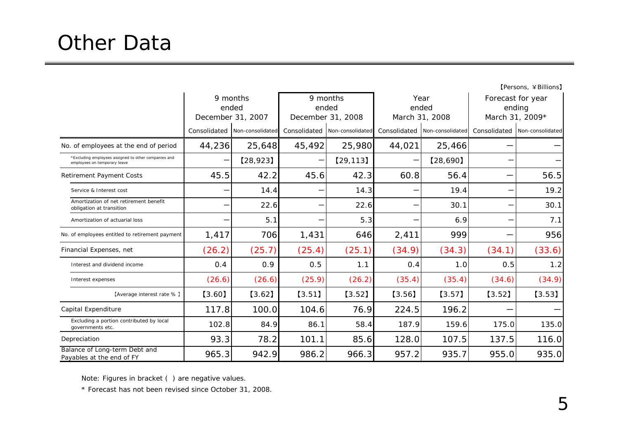|                                                                                       | 9 months<br>ended<br>December 31, 2007 |                  |              | 9 months<br>ended<br>December 31, 2008 |              | Year<br>ended<br>March 31, 2008 | Forecast for year<br>ending<br>March 31, 2009* |                  |  |
|---------------------------------------------------------------------------------------|----------------------------------------|------------------|--------------|----------------------------------------|--------------|---------------------------------|------------------------------------------------|------------------|--|
|                                                                                       | Consolidated                           | Non-consolidated | Consolidated | Non-consolidated                       | Consolidated | Non-consolidated                | Consolidated                                   | Non-consolidated |  |
| No. of employees at the end of period                                                 | 44,236                                 | 25,648           | 45,492       | 25,980                                 | 44,021       | 25,466                          |                                                |                  |  |
| * Excluding employees assigned to other companies and<br>employees on temporary leave |                                        | [28, 923]        |              | [29, 113]                              |              | [28,690]                        |                                                |                  |  |
| <b>Retirement Payment Costs</b>                                                       | 45.5                                   | 42.2             | 45.6         | 42.3                                   | 60.8         | 56.4                            |                                                | 56.5             |  |
| Service & Interest cost                                                               |                                        | 14.4             |              | 14.3                                   |              | 19.4                            |                                                | 19.2             |  |
| Amortization of net retirement benefit<br>obligation at transition                    |                                        | 22.6             |              | 22.6                                   |              | 30.1                            |                                                | 30.1             |  |
| Amortization of actuarial loss                                                        |                                        | 5.1              |              | 5.3                                    |              | 6.9                             |                                                | 7.1              |  |
| No. of employees entitled to retirement payment                                       | 1,417                                  | 706              | 1,431        | 646                                    | 2,411        | 999                             |                                                | 956              |  |
| Financial Expenses, net                                                               | (26.2)                                 | (25.7)           | (25.4)       | (25.1)                                 | (34.9)       | (34.3)                          | (34.1)                                         | (33.6)           |  |
| Interest and dividend income                                                          | 0.4                                    | 0.9              | 0.5          | 1.1                                    | 0.4          | 1.0                             | 0.5                                            | 1.2              |  |
| Interest expenses                                                                     | (26.6)                                 | (26.6)           | (25.9)       | (26.2)                                 | (35.4)       | (35.4)                          | (34.6)                                         | (34.9)           |  |
| [Average interest rate %]                                                             | $[3.60]$                               | $[3.62]$         | $[3.51]$     | $[3.52]$                               | [3.56]       | $[3.57]$                        | $[3.52]$                                       | $[3.53]$         |  |
| Capital Expenditure                                                                   | 117.8                                  | 100.0            | 104.6        | 76.9                                   | 224.5        | 196.2                           |                                                |                  |  |
| Excluding a portion contributed by local<br>governments etc.                          | 102.8                                  | 84.9             | 86.1         | 58.4                                   | 187.9        | 159.6                           | 175.0                                          | 135.0            |  |
| Depreciation                                                                          | 93.3                                   | 78.2             | 101.1        | 85.6                                   | 128.0        | 107.5                           | 137.5                                          | 116.0            |  |
| Balance of Long-term Debt and<br>Payables at the end of FY                            | 965.3                                  | 942.9            | 986.2        | 966.3                                  | 957.2        | 935.7                           | 955.0                                          | 935.0            |  |

Note: Figures in bracket ( ) are negative values.

\* Forecast has not been revised since October 31, 2008.

【Persons, ¥Billions】